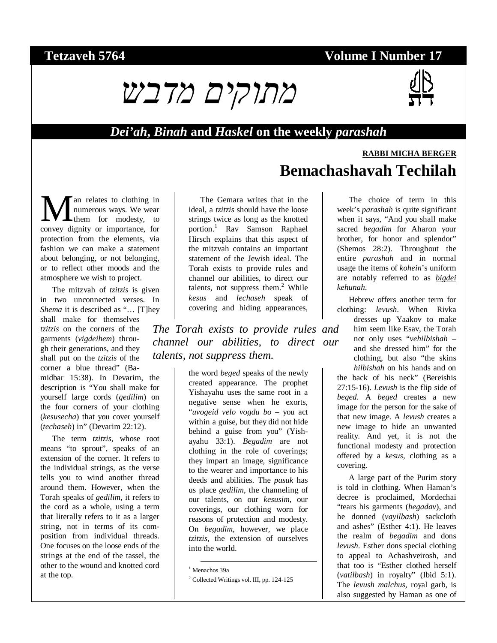## **Tetzaveh 5764 Volume I Number 17**



#### *Dei'ah***,** *Binah* **and** *Haskel* **on the weekly** *parashah*

# **RABBI MICHA BERGER Bemachashavah Techilah**

an relates to clothing in numerous ways. We wear them for modesty, to **M** an relates to clothing in numerous ways. We wear for modesty, to convey dignity or importance, for protection from the elements, via fashion we can make a statement about belonging, or not belonging, or to reflect other moods and the atmosphere we wish to project.

The mitzvah of *tzitzis* is given in two unconnected verses. In *Shema* it is described as "... [T]hey shall make for themselves *tzitzis* on the corners of the garments (*vigdeihem*) through their generations, and they shall put on the *tzitzis* of the corner a blue thread" (Bamidbar 15:38). In Devarim, the description is "You shall make for yourself large cords (*gedilim*) on the four corners of your clothing (*kesusecha*) that you cover yourself (*techaseh*) in" (Devarim 22:12).

The term *tzitzis*, whose root means "to sprout", speaks of an extension of the corner. It refers to the individual strings, as the verse tells you to wind another thread around them. However, when the Torah speaks of *gedilim*, it refers to the cord as a whole, using a term that literally refers to it as a larger string, not in terms of its composition from individual threads. One focuses on the loose ends of the strings at the end of the tassel, the other to the wound and knotted cord at the top.

The Gemara writes that in the ideal, a *tzitzis* should have the loose strings twice as long as the knotted portion.<sup>1</sup> Rav Samson Raphael Hirsch explains that this aspect of the mitzvah contains an important statement of the Jewish ideal. The Torah exists to provide rules and channel our abilities, to direct our talents, not suppress them. $2$  While *kesus* and *lechaseh* speak of covering and hiding appearances,

*The Torah exists to provide rules and channel our abilities, to direct our talents, not suppress them.* 

> the word *beged* speaks of the newly created appearance. The prophet Yishayahu uses the same root in a negative sense when he exorts, "*uvogeid velo vogdu bo* – you act within a guise, but they did not hide behind a guise from you" (Yishayahu 33:1). *Begadim* are not clothing in the role of coverings; they impart an image, significance to the wearer and importance to his deeds and abilities. The *pasuk* has us place *gedilim*, the channeling of our talents, on our *kesusim*, our coverings, our clothing worn for reasons of protection and modesty. On *begadim*, however, we place *tzitzis*, the extension of ourselves into the world.

The choice of term in this week's *parashah* is quite significant when it says, "And you shall make sacred *begadim* for Aharon your brother, for honor and splendor" (Shemos 28:2). Throughout the entire *parashah* and in normal usage the items of *kohein*'s uniform are notably referred to as *bigdei kehunah*.

Hebrew offers another term for clothing: *levush*. When Rivka

dresses up Yaakov to make him seem like Esav, the Torah not only uses "*vehilbishah* – and she dressed him" for the clothing, but also "the skins *hilbishah* on his hands and on the back of his neck" (Bereishis 27:15-16). *Levush* is the flip side of *beged*. A *beged* creates a new image for the person for the sake of that new image. A *levush* creates a new image to hide an unwanted reality. And yet, it is not the functional modesty and protection offered by a *kesus*, clothing as a covering.

A large part of the Purim story is told in clothing. When Haman's decree is proclaimed, Mordechai "tears his garments (*begadav*), and he donned (*vayilbash*) sackcloth and ashes" (Esther 4:1). He leaves the realm of *begadim* and dons *levush*. Esther dons special clothing to appeal to Achashveirosh, and that too is "Esther clothed herself (*vatilbash*) in royalty" (Ibid 5:1). The *levush malchus*, royal garb, is also suggested by Haman as one of

 <sup>1</sup> Menachos 39a

<sup>&</sup>lt;sup>2</sup> Collected Writings vol. III, pp. 124-125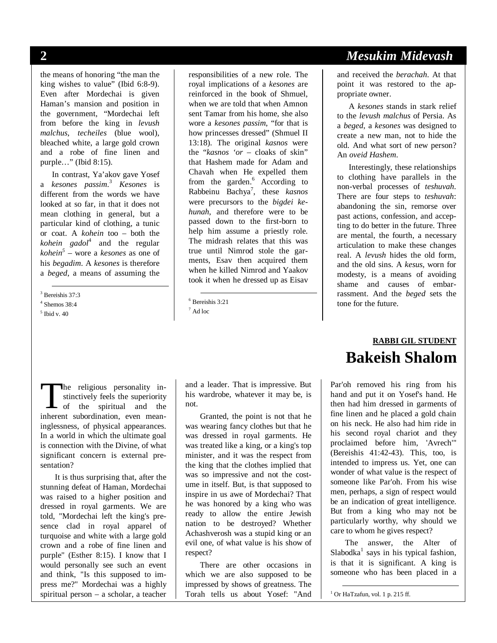the means of honoring "the man the king wishes to value" (Ibid 6:8-9). Even after Mordechai is given Haman's mansion and position in the government, "Mordechai left from before the king in *levush malchus*, *techeiles* (blue wool), bleached white, a large gold crown and a robe of fine linen and purple…" (Ibid 8:15).

In contrast, Ya'akov gave Yosef a *kesones passim*. <sup>3</sup> *Kesones* is different from the words we have looked at so far, in that it does not mean clothing in general, but a particular kind of clothing, a tunic or coat. A *kohein* too – both the *kohein gadol*<sup>4</sup> and the regular *kohein5* – wore a *kesones* as one of his *begadim*. A *kesones* is therefore a *beged*, a means of assuming the

3 Bereishis 37:3

4 Shemos 38:4

responsibilities of a new role. The royal implications of a *kesones* are reinforced in the book of Shmuel, when we are told that when Amnon sent Tamar from his home, she also wore a *kesones passim*, "for that is how princesses dressed" (Shmuel II 13:18). The original *kasnos* were the "*kasnos 'or* – cloaks of skin" that Hashem made for Adam and Chavah when He expelled them from the garden.<sup>6</sup> According to Rabbeinu Bachya<sup>7</sup> , these *kasnos* were precursors to the *bigdei kehunah*, and therefore were to be passed down to the first-born to help him assume a priestly role. The midrash relates that this was true until Nimrod stole the garments, Esav then acquired them when he killed Nimrod and Yaakov took it when he dressed up as Eisav

6 Bereishis 3:21

7 Ad loc

he religious personality instinctively feels the superiority The religious personality in-<br>stinctively feels the superiority<br>of the spiritual and the<br>inherent subordination even meaninherent subordination, even meaninglessness, of physical appearances. In a world in which the ultimate goal is connection with the Divine, of what significant concern is external presentation?

It is thus surprising that, after the stunning defeat of Haman, Mordechai was raised to a higher position and dressed in royal garments. We are told, "Mordechai left the king's presence clad in royal apparel of turquoise and white with a large gold crown and a robe of fine linen and purple" (Esther 8:15). I know that I would personally see such an event and think, "Is this supposed to impress me?" Mordechai was a highly spiritual person – a scholar, a teacher

and a leader. That is impressive. But his wardrobe, whatever it may be, is not.

Granted, the point is not that he was wearing fancy clothes but that he was dressed in royal garments. He was treated like a king, or a king's top minister, and it was the respect from the king that the clothes implied that was so impressive and not the costume in itself. But, is that supposed to inspire in us awe of Mordechai? That he was honored by a king who was ready to allow the entire Jewish nation to be destroyed? Whether Achashverosh was a stupid king or an evil one, of what value is his show of respect?

There are other occasions in which we are also supposed to be impressed by shows of greatness. The Torah tells us about Yosef: "And

## **2** *Mesukim Midevash*

and received the *berachah*. At that point it was restored to the appropriate owner.

A *kesones* stands in stark relief to the *levush malchus* of Persia. As a *beged*, a *kesones* was designed to create a new man, not to hide the old. And what sort of new person? An *oveid Hashem*.

Interestingly, these relationships to clothing have parallels in the non-verbal processes of *teshuvah*. There are four steps to *teshuvah*: abandoning the sin, remorse over past actions, confession, and accepting to do better in the future. Three are mental, the fourth, a necessary articulation to make these changes real. A *levush* hides the old form, and the old sins. A *kesus*, worn for modesty, is a means of avoiding shame and causes of embarrassment. And the *beged* sets the tone for the future.

## **RABBI GIL STUDENT Bakeish Shalom**

Par'oh removed his ring from his hand and put it on Yosef's hand. He then had him dressed in garments of fine linen and he placed a gold chain on his neck. He also had him ride in his second royal chariot and they proclaimed before him, 'Avrech'" (Bereishis 41:42-43). This, too, is intended to impress us. Yet, one can wonder of what value is the respect of someone like Par'oh. From his wise men, perhaps, a sign of respect would be an indication of great intelligence. But from a king who may not be particularly worthy, why should we care to whom he gives respect?

The answer, the Alter of Slabodka<sup>1</sup> says in his typical fashion, is that it is significant. A king is someone who has been placed in a

1 Or HaTzafun, vol. 1 p. 215 ff.

<sup>5</sup> Ibid v. 40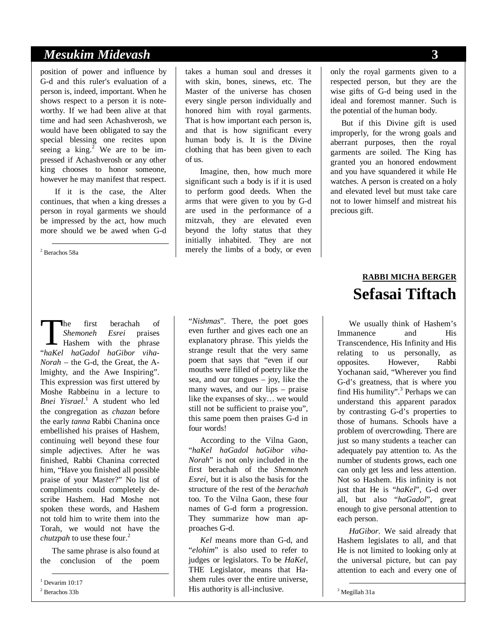## *Mesukim Midevash* **3**

position of power and influence by G-d and this ruler's evaluation of a person is, indeed, important. When he shows respect to a person it is noteworthy. If we had been alive at that time and had seen Achashverosh, we would have been obligated to say the special blessing one recites upon seeing a  $\text{king.}^2$  We are to be impressed if Achashverosh or any other king chooses to honor someone, however he may manifest that respect.

If it is the case, the Alter continues, that when a king dresses a person in royal garments we should be impressed by the act, how much more should we be awed when G-d

2 Berachos 58a

takes a human soul and dresses it with skin, bones, sinews, etc. The Master of the universe has chosen every single person individually and honored him with royal garments. That is how important each person is, and that is how significant every human body is. It is the Divine clothing that has been given to each of us.

Imagine, then, how much more significant such a body is if it is used to perform good deeds. When the arms that were given to you by G-d are used in the performance of a mitzvah, they are elevated even beyond the lofty status that they initially inhabited. They are not merely the limbs of a body, or even

he first berachah of *Shemoneh Esrei* praises Hashem with the phrase The first berachah of *Shemoneh Esrei* praises<br>
Hashem with the phrase<br>
"haKel haGadol haGibor viha-*Norah* – the G-d, the Great, the Almighty, and the Awe Inspiring". This expression was first uttered by Moshe Rabbeinu in a lecture to *Bnei Yisrael*. 1 A student who led the congregation as *chazan* before the early *tanna* Rabbi Chanina once embellished his praises of Hashem, continuing well beyond these four simple adjectives. After he was finished, Rabbi Chanina corrected him, "Have you finished all possible praise of your Master?" No list of compliments could completely describe Hashem. Had Moshe not spoken these words, and Hashem not told him to write them into the Torah, we would not have the *chutzpah* to use these four.<sup>2</sup>

The same phrase is also found at the conclusion of the poem

 1 Devarim 10:17 2 Berachos 33b

"*Nishmas*". There, the poet goes even further and gives each one an explanatory phrase. This yields the strange result that the very same poem that says that "even if our mouths were filled of poetry like the sea, and our tongues – joy, like the many waves, and our lips – praise like the expanses of sky… we would still not be sufficient to praise you", this same poem then praises G-d in four words!

According to the Vilna Gaon, "*haKel haGadol haGibor viha-Norah*" is not only included in the first berachah of the *Shemoneh Esrei*, but it is also the basis for the structure of the rest of the *berachah* too. To the Vilna Gaon, these four names of G-d form a progression. They summarize how man approaches G-d.

*Kel* means more than G-d, and "*elohim*" is also used to refer to judges or legislators. To be *HaKel*, THE Legislator, means that Hashem rules over the entire universe, His authority is all-inclusive.

only the royal garments given to a respected person, but they are the wise gifts of G-d being used in the ideal and foremost manner. Such is the potential of the human body.

But if this Divine gift is used improperly, for the wrong goals and aberrant purposes, then the royal garments are soiled. The King has granted you an honored endowment and you have squandered it while He watches. A person is created on a holy and elevated level but must take care not to lower himself and mistreat his precious gift.

## **RABBI MICHA BERGER Sefasai Tiftach**

We usually think of Hashem's Immanence and His Transcendence, His Infinity and His relating to us personally, as opposites. However, Rabbi Yochanan said, "Wherever you find G-d's greatness, that is where you find His humility".<sup>3</sup> Perhaps we can understand this apparent paradox by contrasting G-d's properties to those of humans. Schools have a problem of overcrowding. There are just so many students a teacher can adequately pay attention to. As the number of students grows, each one can only get less and less attention. Not so Hashem. His infinity is not just that He is "*haKel*", G-d over all, but also "*haGadol*", great enough to give personal attention to each person.

*HaGibor*. We said already that Hashem legislates to all, and that He is not limited to looking only at the universal picture, but can pay attention to each and every one of

3 Megillah 31a